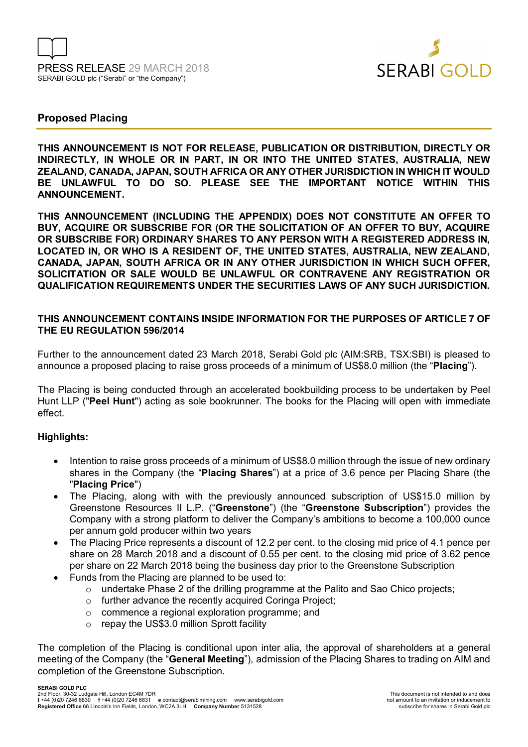



#### **Proposed Placing**

**THIS ANNOUNCEMENT IS NOT FOR RELEASE, PUBLICATION OR DISTRIBUTION, DIRECTLY OR INDIRECTLY, IN WHOLE OR IN PART, IN OR INTO THE UNITED STATES, AUSTRALIA, NEW ZEALAND, CANADA, JAPAN, SOUTH AFRICA OR ANY OTHER JURISDICTION IN WHICH IT WOULD BE UNLAWFUL TO DO SO. PLEASE SEE THE IMPORTANT NOTICE WITHIN THIS ANNOUNCEMENT.** 

**THIS ANNOUNCEMENT (INCLUDING THE APPENDIX) DOES NOT CONSTITUTE AN OFFER TO BUY, ACQUIRE OR SUBSCRIBE FOR (OR THE SOLICITATION OF AN OFFER TO BUY, ACQUIRE OR SUBSCRIBE FOR) ORDINARY SHARES TO ANY PERSON WITH A REGISTERED ADDRESS IN, LOCATED IN, OR WHO IS A RESIDENT OF, THE UNITED STATES, AUSTRALIA, NEW ZEALAND, CANADA, JAPAN, SOUTH AFRICA OR IN ANY OTHER JURISDICTION IN WHICH SUCH OFFER, SOLICITATION OR SALE WOULD BE UNLAWFUL OR CONTRAVENE ANY REGISTRATION OR QUALIFICATION REQUIREMENTS UNDER THE SECURITIES LAWS OF ANY SUCH JURISDICTION.** 

#### **THIS ANNOUNCEMENT CONTAINS INSIDE INFORMATION FOR THE PURPOSES OF ARTICLE 7 OF THE EU REGULATION 596/2014**

Further to the announcement dated 23 March 2018, Serabi Gold plc (AIM:SRB, TSX:SBI) is pleased to announce a proposed placing to raise gross proceeds of a minimum of US\$8.0 million (the "**Placing**").

The Placing is being conducted through an accelerated bookbuilding process to be undertaken by Peel Hunt LLP ("**Peel Hunt**") acting as sole bookrunner. The books for the Placing will open with immediate effect.

#### **Highlights:**

- Intention to raise gross proceeds of a minimum of US\$8.0 million through the issue of new ordinary shares in the Company (the "**Placing Shares**") at a price of 3.6 pence per Placing Share (the "**Placing Price**")
- The Placing, along with with the previously announced subscription of US\$15.0 million by Greenstone Resources II L.P. ("**Greenstone**") (the "**Greenstone Subscription**") provides the Company with a strong platform to deliver the Company's ambitions to become a 100,000 ounce per annum gold producer within two years
- The Placing Price represents a discount of 12.2 per cent. to the closing mid price of 4.1 pence per share on 28 March 2018 and a discount of 0.55 per cent. to the closing mid price of 3.62 pence per share on 22 March 2018 being the business day prior to the Greenstone Subscription
- Funds from the Placing are planned to be used to:
	- $\circ$  undertake Phase 2 of the drilling programme at the Palito and Sao Chico projects;
	- o further advance the recently acquired Coringa Project;
	- o commence a regional exploration programme; and
	- o repay the US\$3.0 million Sprott facility

The completion of the Placing is conditional upon inter alia, the approval of shareholders at a general meeting of the Company (the "**General Meeting**"), admission of the Placing Shares to trading on AIM and completion of the Greenstone Subscription.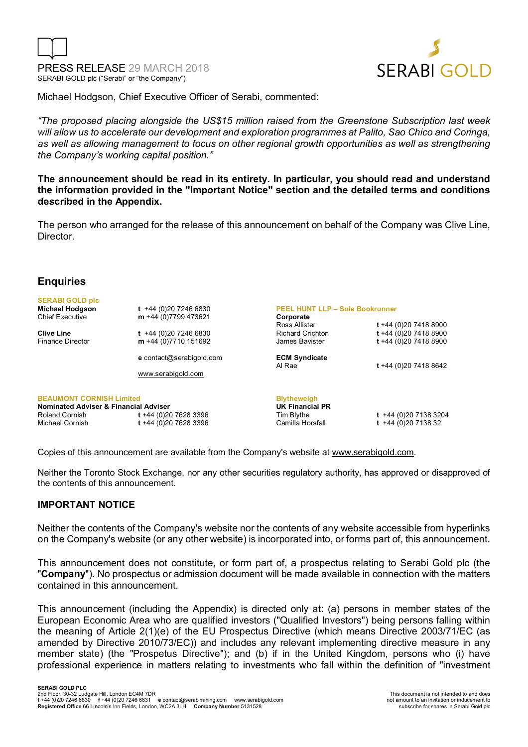



Michael Hodgson, Chief Executive Officer of Serabi, commented:

*"The proposed placing alongside the US\$15 million raised from the Greenstone Subscription last week will allow us to accelerate our development and exploration programmes at Palito, Sao Chico and Coringa, as well as allowing management to focus on other regional growth opportunities as well as strengthening the Company's working capital position."* 

**The announcement should be read in its entirety. In particular, you should read and understand the information provided in the "Important Notice" section and the detailed terms and conditions described in the Appendix.** 

The person who arranged for the release of this announcement on behalf of the Company was Clive Line, Director.

### **Enquiries**

| <b>SERABI GOLD plc</b>                           |                          |                                        |                          |
|--------------------------------------------------|--------------------------|----------------------------------------|--------------------------|
| <b>Michael Hodgson</b>                           | $t +44(0)2072466830$     | <b>PEEL HUNT LLP - Sole Bookrunner</b> |                          |
| <b>Chief Executive</b>                           | m +44 (0)7799 473621     | Corporate                              |                          |
|                                                  |                          | Ross Allister                          | $t + 44 (0)20 7418 8900$ |
| <b>Clive Line</b>                                | $t +44(0)2072466830$     | <b>Richard Crichton</b>                | $t + 44 (0)20 7418 8900$ |
| <b>Finance Director</b>                          | $m + 44(0)7710151692$    | James Bavister                         | $t + 44 (0)20 7418 8900$ |
|                                                  | e contact@serabigold.com | <b>ECM Syndicate</b>                   |                          |
|                                                  | www.serabigold.com       | Al Rae                                 | t +44 (0)20 7418 8642    |
| <b>BEAUMONT CORNISH Limited</b>                  |                          | <b>Blytheweigh</b>                     |                          |
| <b>Nominated Adviser &amp; Financial Adviser</b> |                          | <b>UK Financial PR</b>                 |                          |
| Roland Cornish                                   | t +44 (0)20 7628 3396    | Tim Blythe                             | $t +44(0)2071383204$     |
| Michael Cornish                                  | t +44 (0)20 7628 3396    | Camilla Horsfall                       | $t +44(0)20713832$       |

Copies of this announcement are available from the Company's website at www.serabigold.com.

Neither the Toronto Stock Exchange, nor any other securities regulatory authority, has approved or disapproved of the contents of this announcement.

#### **IMPORTANT NOTICE**

Neither the contents of the Company's website nor the contents of any website accessible from hyperlinks on the Company's website (or any other website) is incorporated into, or forms part of, this announcement.

This announcement does not constitute, or form part of, a prospectus relating to Serabi Gold plc (the "**Company**"). No prospectus or admission document will be made available in connection with the matters contained in this announcement.

This announcement (including the Appendix) is directed only at: (a) persons in member states of the European Economic Area who are qualified investors ("Qualified Investors") being persons falling within the meaning of Article 2(1)(e) of the EU Prospectus Directive (which means Directive 2003/71/EC (as amended by Directive 2010/73/EC)) and includes any relevant implementing directive measure in any member state) (the "Prospetus Directive"); and (b) if in the United Kingdom, persons who (i) have professional experience in matters relating to investments who fall within the definition of "investment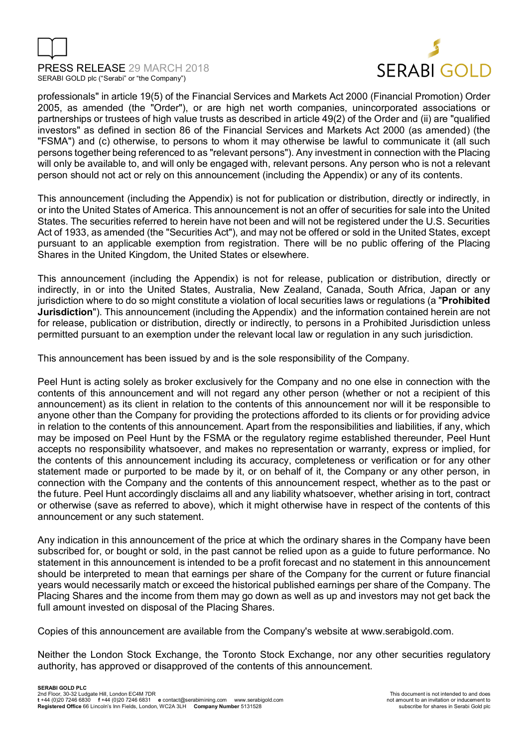

PRESS RELEASE 29 MARCH 2018 SERABI GOLD plc ("Serabi" or "the Company")



professionals" in article 19(5) of the Financial Services and Markets Act 2000 (Financial Promotion) Order 2005, as amended (the "Order"), or are high net worth companies, unincorporated associations or partnerships or trustees of high value trusts as described in article 49(2) of the Order and (ii) are "qualified investors" as defined in section 86 of the Financial Services and Markets Act 2000 (as amended) (the "FSMA") and (c) otherwise, to persons to whom it may otherwise be lawful to communicate it (all such persons together being referenced to as "relevant persons"). Any investment in connection with the Placing will only be available to, and will only be engaged with, relevant persons. Any person who is not a relevant person should not act or rely on this announcement (including the Appendix) or any of its contents.

This announcement (including the Appendix) is not for publication or distribution, directly or indirectly, in or into the United States of America. This announcement is not an offer of securities for sale into the United States. The securities referred to herein have not been and will not be registered under the U.S. Securities Act of 1933, as amended (the "Securities Act"), and may not be offered or sold in the United States, except pursuant to an applicable exemption from registration. There will be no public offering of the Placing Shares in the United Kingdom, the United States or elsewhere.

This announcement (including the Appendix) is not for release, publication or distribution, directly or indirectly, in or into the United States, Australia, New Zealand, Canada, South Africa, Japan or any jurisdiction where to do so might constitute a violation of local securities laws or regulations (a "**Prohibited Jurisdiction**"). This announcement (including the Appendix) and the information contained herein are not for release, publication or distribution, directly or indirectly, to persons in a Prohibited Jurisdiction unless permitted pursuant to an exemption under the relevant local law or regulation in any such jurisdiction.

This announcement has been issued by and is the sole responsibility of the Company.

Peel Hunt is acting solely as broker exclusively for the Company and no one else in connection with the contents of this announcement and will not regard any other person (whether or not a recipient of this announcement) as its client in relation to the contents of this announcement nor will it be responsible to anyone other than the Company for providing the protections afforded to its clients or for providing advice in relation to the contents of this announcement. Apart from the responsibilities and liabilities, if any, which may be imposed on Peel Hunt by the FSMA or the regulatory regime established thereunder, Peel Hunt accepts no responsibility whatsoever, and makes no representation or warranty, express or implied, for the contents of this announcement including its accuracy, completeness or verification or for any other statement made or purported to be made by it, or on behalf of it, the Company or any other person, in connection with the Company and the contents of this announcement respect, whether as to the past or the future. Peel Hunt accordingly disclaims all and any liability whatsoever, whether arising in tort, contract or otherwise (save as referred to above), which it might otherwise have in respect of the contents of this announcement or any such statement.

Any indication in this announcement of the price at which the ordinary shares in the Company have been subscribed for, or bought or sold, in the past cannot be relied upon as a guide to future performance. No statement in this announcement is intended to be a profit forecast and no statement in this announcement should be interpreted to mean that earnings per share of the Company for the current or future financial years would necessarily match or exceed the historical published earnings per share of the Company. The Placing Shares and the income from them may go down as well as up and investors may not get back the full amount invested on disposal of the Placing Shares.

Copies of this announcement are available from the Company's website at www.serabigold.com.

Neither the London Stock Exchange, the Toronto Stock Exchange, nor any other securities regulatory authority, has approved or disapproved of the contents of this announcement.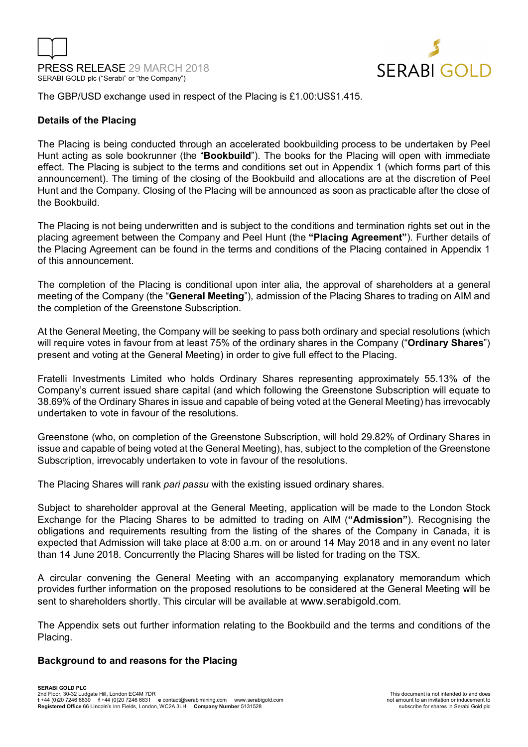



The GBP/USD exchange used in respect of the Placing is £1.00:US\$1.415.

#### **Details of the Placing**

The Placing is being conducted through an accelerated bookbuilding process to be undertaken by Peel Hunt acting as sole bookrunner (the "**Bookbuild**"). The books for the Placing will open with immediate effect. The Placing is subject to the terms and conditions set out in Appendix 1 (which forms part of this announcement). The timing of the closing of the Bookbuild and allocations are at the discretion of Peel Hunt and the Company. Closing of the Placing will be announced as soon as practicable after the close of the Bookbuild.

The Placing is not being underwritten and is subject to the conditions and termination rights set out in the placing agreement between the Company and Peel Hunt (the **"Placing Agreement"**). Further details of the Placing Agreement can be found in the terms and conditions of the Placing contained in Appendix 1 of this announcement.

The completion of the Placing is conditional upon inter alia, the approval of shareholders at a general meeting of the Company (the "**General Meeting**"), admission of the Placing Shares to trading on AIM and the completion of the Greenstone Subscription.

At the General Meeting, the Company will be seeking to pass both ordinary and special resolutions (which will require votes in favour from at least 75% of the ordinary shares in the Company ("**Ordinary Shares**") present and voting at the General Meeting) in order to give full effect to the Placing.

Fratelli Investments Limited who holds Ordinary Shares representing approximately 55.13% of the Company's current issued share capital (and which following the Greenstone Subscription will equate to 38.69% of the Ordinary Shares in issue and capable of being voted at the General Meeting) has irrevocably undertaken to vote in favour of the resolutions.

Greenstone (who, on completion of the Greenstone Subscription, will hold 29.82% of Ordinary Shares in issue and capable of being voted at the General Meeting), has, subject to the completion of the Greenstone Subscription, irrevocably undertaken to vote in favour of the resolutions.

The Placing Shares will rank *pari passu* with the existing issued ordinary shares.

Subject to shareholder approval at the General Meeting, application will be made to the London Stock Exchange for the Placing Shares to be admitted to trading on AIM (**"Admission"**). Recognising the obligations and requirements resulting from the listing of the shares of the Company in Canada, it is expected that Admission will take place at 8:00 a.m. on or around 14 May 2018 and in any event no later than 14 June 2018. Concurrently the Placing Shares will be listed for trading on the TSX.

A circular convening the General Meeting with an accompanying explanatory memorandum which provides further information on the proposed resolutions to be considered at the General Meeting will be sent to shareholders shortly. This circular will be available at www.serabigold.com.

The Appendix sets out further information relating to the Bookbuild and the terms and conditions of the Placing.

#### **Background to and reasons for the Placing**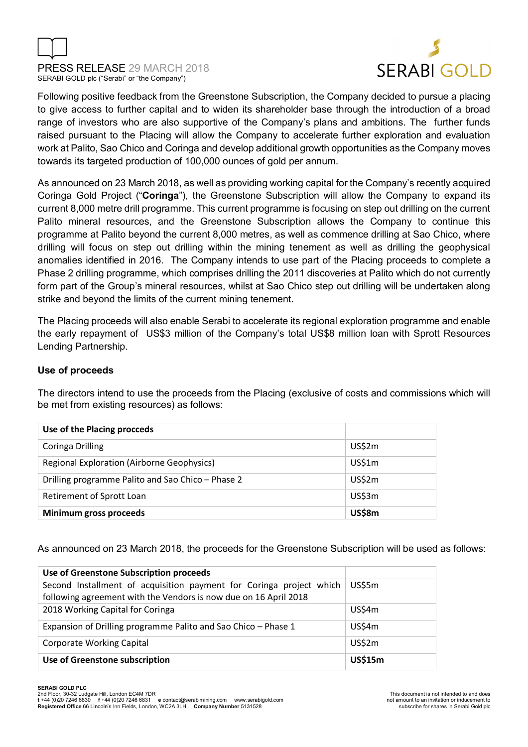



Following positive feedback from the Greenstone Subscription, the Company decided to pursue a placing to give access to further capital and to widen its shareholder base through the introduction of a broad range of investors who are also supportive of the Company's plans and ambitions. The further funds raised pursuant to the Placing will allow the Company to accelerate further exploration and evaluation work at Palito, Sao Chico and Coringa and develop additional growth opportunities as the Company moves towards its targeted production of 100,000 ounces of gold per annum.

As announced on 23 March 2018, as well as providing working capital for the Company's recently acquired Coringa Gold Project ("**Coringa**"), the Greenstone Subscription will allow the Company to expand its current 8,000 metre drill programme. This current programme is focusing on step out drilling on the current Palito mineral resources, and the Greenstone Subscription allows the Company to continue this programme at Palito beyond the current 8,000 metres, as well as commence drilling at Sao Chico, where drilling will focus on step out drilling within the mining tenement as well as drilling the geophysical anomalies identified in 2016. The Company intends to use part of the Placing proceeds to complete a Phase 2 drilling programme, which comprises drilling the 2011 discoveries at Palito which do not currently form part of the Group's mineral resources, whilst at Sao Chico step out drilling will be undertaken along strike and beyond the limits of the current mining tenement.

The Placing proceeds will also enable Serabi to accelerate its regional exploration programme and enable the early repayment of US\$3 million of the Company's total US\$8 million loan with Sprott Resources Lending Partnership.

#### **Use of proceeds**

The directors intend to use the proceeds from the Placing (exclusive of costs and commissions which will be met from existing resources) as follows:

| Use of the Placing procceds                       |               |
|---------------------------------------------------|---------------|
| Coringa Drilling                                  | <b>US\$2m</b> |
| Regional Exploration (Airborne Geophysics)        | <b>US\$1m</b> |
| Drilling programme Palito and Sao Chico - Phase 2 | <b>US\$2m</b> |
| Retirement of Sprott Loan                         | US\$3m        |
| <b>Minimum gross proceeds</b>                     | <b>US\$8m</b> |

As announced on 23 March 2018, the proceeds for the Greenstone Subscription will be used as follows:

| Use of Greenstone Subscription proceeds                             |                |
|---------------------------------------------------------------------|----------------|
| Second Installment of acquisition payment for Coringa project which | US\$5m         |
| following agreement with the Vendors is now due on 16 April 2018    |                |
| 2018 Working Capital for Coringa                                    | US\$4m         |
| Expansion of Drilling programme Palito and Sao Chico - Phase 1      | <b>US\$4m</b>  |
| <b>Corporate Working Capital</b>                                    | US\$2m         |
| Use of Greenstone subscription                                      | <b>US\$15m</b> |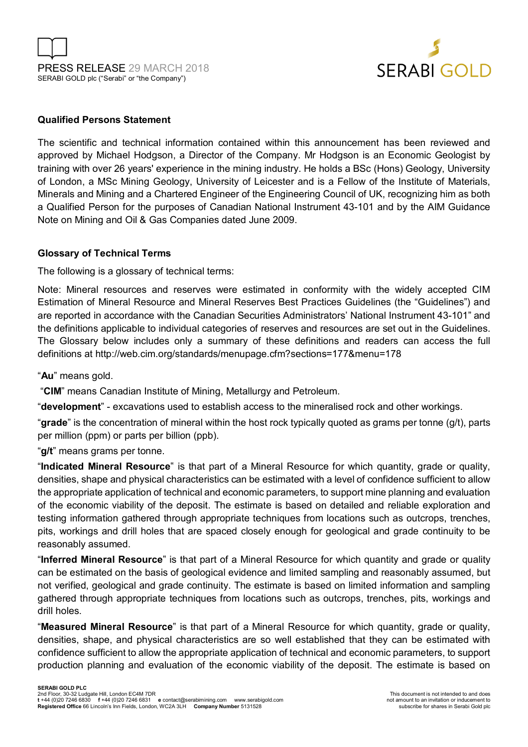



#### **Qualified Persons Statement**

The scientific and technical information contained within this announcement has been reviewed and approved by Michael Hodgson, a Director of the Company. Mr Hodgson is an Economic Geologist by training with over 26 years' experience in the mining industry. He holds a BSc (Hons) Geology, University of London, a MSc Mining Geology, University of Leicester and is a Fellow of the Institute of Materials, Minerals and Mining and a Chartered Engineer of the Engineering Council of UK, recognizing him as both a Qualified Person for the purposes of Canadian National Instrument 43-101 and by the AIM Guidance Note on Mining and Oil & Gas Companies dated June 2009.

#### **Glossary of Technical Terms**

The following is a glossary of technical terms:

Note: Mineral resources and reserves were estimated in conformity with the widely accepted CIM Estimation of Mineral Resource and Mineral Reserves Best Practices Guidelines (the "Guidelines") and are reported in accordance with the Canadian Securities Administrators' National Instrument 43-101" and the definitions applicable to individual categories of reserves and resources are set out in the Guidelines. The Glossary below includes only a summary of these definitions and readers can access the full definitions at http://web.cim.org/standards/menupage.cfm?sections=177&menu=178

"**Au**" means gold.

"**CIM**" means Canadian Institute of Mining, Metallurgy and Petroleum.

"**development**" - excavations used to establish access to the mineralised rock and other workings.

"**grade**" is the concentration of mineral within the host rock typically quoted as grams per tonne (g/t), parts per million (ppm) or parts per billion (ppb).

"**g/t**" means grams per tonne.

"**Indicated Mineral Resource**" is that part of a Mineral Resource for which quantity, grade or quality, densities, shape and physical characteristics can be estimated with a level of confidence sufficient to allow the appropriate application of technical and economic parameters, to support mine planning and evaluation of the economic viability of the deposit. The estimate is based on detailed and reliable exploration and testing information gathered through appropriate techniques from locations such as outcrops, trenches, pits, workings and drill holes that are spaced closely enough for geological and grade continuity to be reasonably assumed.

"**Inferred Mineral Resource**" is that part of a Mineral Resource for which quantity and grade or quality can be estimated on the basis of geological evidence and limited sampling and reasonably assumed, but not verified, geological and grade continuity. The estimate is based on limited information and sampling gathered through appropriate techniques from locations such as outcrops, trenches, pits, workings and drill holes.

"**Measured Mineral Resource**" is that part of a Mineral Resource for which quantity, grade or quality, densities, shape, and physical characteristics are so well established that they can be estimated with confidence sufficient to allow the appropriate application of technical and economic parameters, to support production planning and evaluation of the economic viability of the deposit. The estimate is based on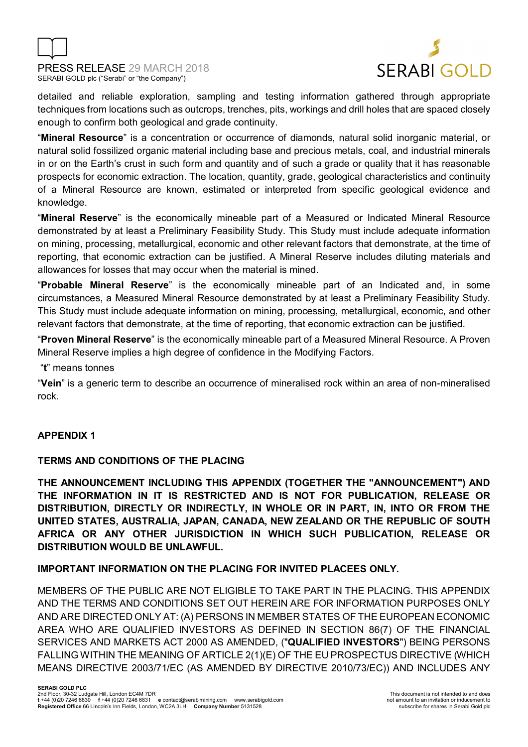



detailed and reliable exploration, sampling and testing information gathered through appropriate techniques from locations such as outcrops, trenches, pits, workings and drill holes that are spaced closely enough to confirm both geological and grade continuity.

"**Mineral Resource**" is a concentration or occurrence of diamonds, natural solid inorganic material, or natural solid fossilized organic material including base and precious metals, coal, and industrial minerals in or on the Earth's crust in such form and quantity and of such a grade or quality that it has reasonable prospects for economic extraction. The location, quantity, grade, geological characteristics and continuity of a Mineral Resource are known, estimated or interpreted from specific geological evidence and knowledge.

"**Mineral Reserve**" is the economically mineable part of a Measured or Indicated Mineral Resource demonstrated by at least a Preliminary Feasibility Study. This Study must include adequate information on mining, processing, metallurgical, economic and other relevant factors that demonstrate, at the time of reporting, that economic extraction can be justified. A Mineral Reserve includes diluting materials and allowances for losses that may occur when the material is mined.

"**Probable Mineral Reserve**" is the economically mineable part of an Indicated and, in some circumstances, a Measured Mineral Resource demonstrated by at least a Preliminary Feasibility Study. This Study must include adequate information on mining, processing, metallurgical, economic, and other relevant factors that demonstrate, at the time of reporting, that economic extraction can be justified.

"**Proven Mineral Reserve**" is the economically mineable part of a Measured Mineral Resource. A Proven Mineral Reserve implies a high degree of confidence in the Modifying Factors.

"**t**" means tonnes

"**Vein**" is a generic term to describe an occurrence of mineralised rock within an area of non-mineralised rock.

#### **APPENDIX 1**

#### **TERMS AND CONDITIONS OF THE PLACING**

**THE ANNOUNCEMENT INCLUDING THIS APPENDIX (TOGETHER THE "ANNOUNCEMENT") AND THE INFORMATION IN IT IS RESTRICTED AND IS NOT FOR PUBLICATION, RELEASE OR DISTRIBUTION, DIRECTLY OR INDIRECTLY, IN WHOLE OR IN PART, IN, INTO OR FROM THE UNITED STATES, AUSTRALIA, JAPAN, CANADA, NEW ZEALAND OR THE REPUBLIC OF SOUTH AFRICA OR ANY OTHER JURISDICTION IN WHICH SUCH PUBLICATION, RELEASE OR DISTRIBUTION WOULD BE UNLAWFUL.** 

## **IMPORTANT INFORMATION ON THE PLACING FOR INVITED PLACEES ONLY.**

MEMBERS OF THE PUBLIC ARE NOT ELIGIBLE TO TAKE PART IN THE PLACING. THIS APPENDIX AND THE TERMS AND CONDITIONS SET OUT HEREIN ARE FOR INFORMATION PURPOSES ONLY AND ARE DIRECTED ONLY AT: (A) PERSONS IN MEMBER STATES OF THE EUROPEAN ECONOMIC AREA WHO ARE QUALIFIED INVESTORS AS DEFINED IN SECTION 86(7) OF THE FINANCIAL SERVICES AND MARKETS ACT 2000 AS AMENDED, ("**QUALIFIED INVESTORS**") BEING PERSONS FALLING WITHIN THE MEANING OF ARTICLE 2(1)(E) OF THE EU PROSPECTUS DIRECTIVE (WHICH MEANS DIRECTIVE 2003/71/EC (AS AMENDED BY DIRECTIVE 2010/73/EC)) AND INCLUDES ANY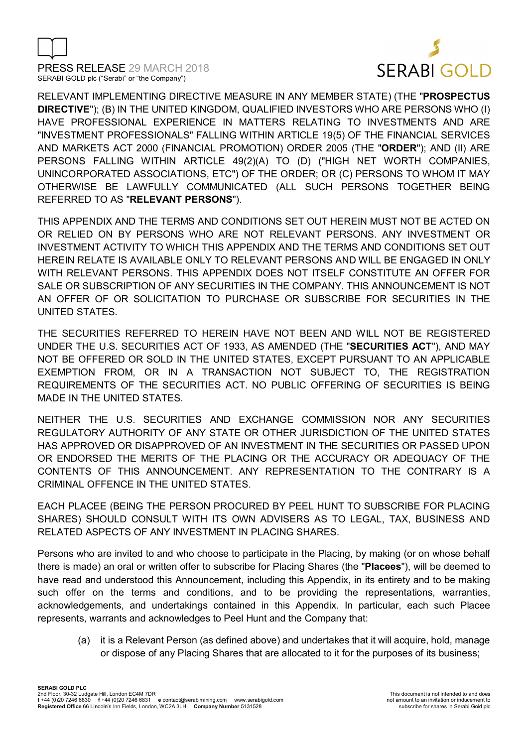

PRESS RELEASE 29 MARCH 2018 SERABI GOLD plc ("Serabi" or "the Company")



RELEVANT IMPLEMENTING DIRECTIVE MEASURE IN ANY MEMBER STATE) (THE "**PROSPECTUS DIRECTIVE**"); (B) IN THE UNITED KINGDOM, QUALIFIED INVESTORS WHO ARE PERSONS WHO (I) HAVE PROFESSIONAL EXPERIENCE IN MATTERS RELATING TO INVESTMENTS AND ARE "INVESTMENT PROFESSIONALS" FALLING WITHIN ARTICLE 19(5) OF THE FINANCIAL SERVICES AND MARKETS ACT 2000 (FINANCIAL PROMOTION) ORDER 2005 (THE "**ORDER**''); AND (II) ARE PERSONS FALLING WITHIN ARTICLE 49(2)(A) TO (D) ("HIGH NET WORTH COMPANIES, UNINCORPORATED ASSOCIATIONS, ETC") OF THE ORDER; OR (C) PERSONS TO WHOM IT MAY OTHERWISE BE LAWFULLY COMMUNICATED (ALL SUCH PERSONS TOGETHER BEING REFERRED TO AS "**RELEVANT PERSONS**").

THIS APPENDIX AND THE TERMS AND CONDITIONS SET OUT HEREIN MUST NOT BE ACTED ON OR RELIED ON BY PERSONS WHO ARE NOT RELEVANT PERSONS. ANY INVESTMENT OR INVESTMENT ACTIVITY TO WHICH THIS APPENDIX AND THE TERMS AND CONDITIONS SET OUT HEREIN RELATE IS AVAILABLE ONLY TO RELEVANT PERSONS AND WILL BE ENGAGED IN ONLY WITH RELEVANT PERSONS. THIS APPENDIX DOES NOT ITSELF CONSTITUTE AN OFFER FOR SALE OR SUBSCRIPTION OF ANY SECURITIES IN THE COMPANY. THIS ANNOUNCEMENT IS NOT AN OFFER OF OR SOLICITATION TO PURCHASE OR SUBSCRIBE FOR SECURITIES IN THE UNITED STATES.

THE SECURITIES REFERRED TO HEREIN HAVE NOT BEEN AND WILL NOT BE REGISTERED UNDER THE U.S. SECURITIES ACT OF 1933, AS AMENDED (THE "**SECURITIES ACT**"), AND MAY NOT BE OFFERED OR SOLD IN THE UNITED STATES, EXCEPT PURSUANT TO AN APPLICABLE EXEMPTION FROM, OR IN A TRANSACTION NOT SUBJECT TO, THE REGISTRATION REQUIREMENTS OF THE SECURITIES ACT. NO PUBLIC OFFERING OF SECURITIES IS BEING MADE IN THE UNITED STATES.

NEITHER THE U.S. SECURITIES AND EXCHANGE COMMISSION NOR ANY SECURITIES REGULATORY AUTHORITY OF ANY STATE OR OTHER JURISDICTION OF THE UNITED STATES HAS APPROVED OR DISAPPROVED OF AN INVESTMENT IN THE SECURITIES OR PASSED UPON OR ENDORSED THE MERITS OF THE PLACING OR THE ACCURACY OR ADEQUACY OF THE CONTENTS OF THIS ANNOUNCEMENT. ANY REPRESENTATION TO THE CONTRARY IS A CRIMINAL OFFENCE IN THE UNITED STATES.

EACH PLACEE (BEING THE PERSON PROCURED BY PEEL HUNT TO SUBSCRIBE FOR PLACING SHARES) SHOULD CONSULT WITH ITS OWN ADVISERS AS TO LEGAL, TAX, BUSINESS AND RELATED ASPECTS OF ANY INVESTMENT IN PLACING SHARES.

Persons who are invited to and who choose to participate in the Placing, by making (or on whose behalf there is made) an oral or written offer to subscribe for Placing Shares (the "**Placees**"), will be deemed to have read and understood this Announcement, including this Appendix, in its entirety and to be making such offer on the terms and conditions, and to be providing the representations, warranties, acknowledgements, and undertakings contained in this Appendix. In particular, each such Placee represents, warrants and acknowledges to Peel Hunt and the Company that:

(a) it is a Relevant Person (as defined above) and undertakes that it will acquire, hold, manage or dispose of any Placing Shares that are allocated to it for the purposes of its business;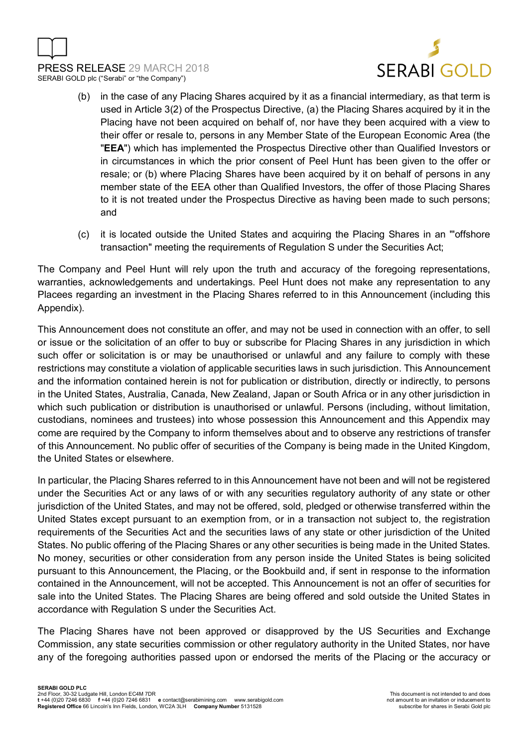



- (b) in the case of any Placing Shares acquired by it as a financial intermediary, as that term is used in Article 3(2) of the Prospectus Directive, (a) the Placing Shares acquired by it in the Placing have not been acquired on behalf of, nor have they been acquired with a view to their offer or resale to, persons in any Member State of the European Economic Area (the "**EEA**") which has implemented the Prospectus Directive other than Qualified Investors or in circumstances in which the prior consent of Peel Hunt has been given to the offer or resale; or (b) where Placing Shares have been acquired by it on behalf of persons in any member state of the EEA other than Qualified Investors, the offer of those Placing Shares to it is not treated under the Prospectus Directive as having been made to such persons; and
- (c) it is located outside the United States and acquiring the Placing Shares in an "'offshore transaction" meeting the requirements of Regulation S under the Securities Act;

The Company and Peel Hunt will rely upon the truth and accuracy of the foregoing representations, warranties, acknowledgements and undertakings. Peel Hunt does not make any representation to any Placees regarding an investment in the Placing Shares referred to in this Announcement (including this Appendix).

This Announcement does not constitute an offer, and may not be used in connection with an offer, to sell or issue or the solicitation of an offer to buy or subscribe for Placing Shares in any jurisdiction in which such offer or solicitation is or may be unauthorised or unlawful and any failure to comply with these restrictions may constitute a violation of applicable securities laws in such jurisdiction. This Announcement and the information contained herein is not for publication or distribution, directly or indirectly, to persons in the United States, Australia, Canada, New Zealand, Japan or South Africa or in any other jurisdiction in which such publication or distribution is unauthorised or unlawful. Persons (including, without limitation, custodians, nominees and trustees) into whose possession this Announcement and this Appendix may come are required by the Company to inform themselves about and to observe any restrictions of transfer of this Announcement. No public offer of securities of the Company is being made in the United Kingdom, the United States or elsewhere.

In particular, the Placing Shares referred to in this Announcement have not been and will not be registered under the Securities Act or any laws of or with any securities regulatory authority of any state or other jurisdiction of the United States, and may not be offered, sold, pledged or otherwise transferred within the United States except pursuant to an exemption from, or in a transaction not subject to, the registration requirements of the Securities Act and the securities laws of any state or other jurisdiction of the United States. No public offering of the Placing Shares or any other securities is being made in the United States. No money, securities or other consideration from any person inside the United States is being solicited pursuant to this Announcement, the Placing, or the Bookbuild and, if sent in response to the information contained in the Announcement, will not be accepted. This Announcement is not an offer of securities for sale into the United States. The Placing Shares are being offered and sold outside the United States in accordance with Regulation S under the Securities Act.

The Placing Shares have not been approved or disapproved by the US Securities and Exchange Commission, any state securities commission or other regulatory authority in the United States, nor have any of the foregoing authorities passed upon or endorsed the merits of the Placing or the accuracy or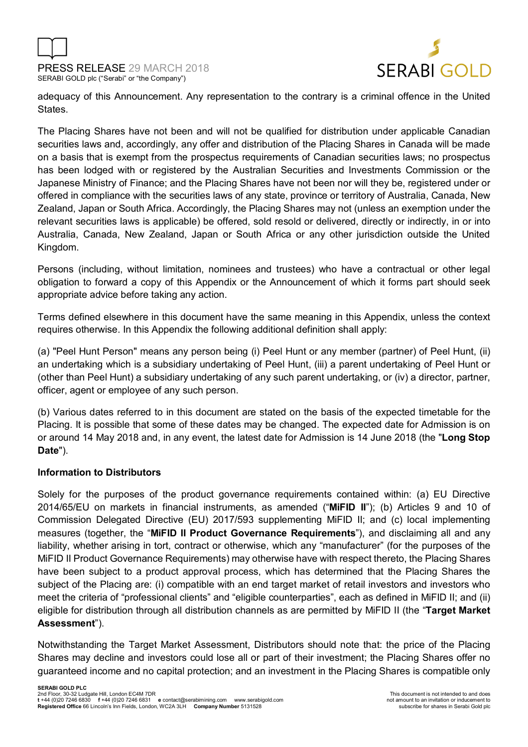



adequacy of this Announcement. Any representation to the contrary is a criminal offence in the United States.

The Placing Shares have not been and will not be qualified for distribution under applicable Canadian securities laws and, accordingly, any offer and distribution of the Placing Shares in Canada will be made on a basis that is exempt from the prospectus requirements of Canadian securities laws; no prospectus has been lodged with or registered by the Australian Securities and Investments Commission or the Japanese Ministry of Finance; and the Placing Shares have not been nor will they be, registered under or offered in compliance with the securities laws of any state, province or territory of Australia, Canada, New Zealand, Japan or South Africa. Accordingly, the Placing Shares may not (unless an exemption under the relevant securities laws is applicable) be offered, sold resold or delivered, directly or indirectly, in or into Australia, Canada, New Zealand, Japan or South Africa or any other jurisdiction outside the United Kingdom.

Persons (including, without limitation, nominees and trustees) who have a contractual or other legal obligation to forward a copy of this Appendix or the Announcement of which it forms part should seek appropriate advice before taking any action.

Terms defined elsewhere in this document have the same meaning in this Appendix, unless the context requires otherwise. In this Appendix the following additional definition shall apply:

(a) "Peel Hunt Person" means any person being (i) Peel Hunt or any member (partner) of Peel Hunt, (ii) an undertaking which is a subsidiary undertaking of Peel Hunt, (iii) a parent undertaking of Peel Hunt or (other than Peel Hunt) a subsidiary undertaking of any such parent undertaking, or (iv) a director, partner, officer, agent or employee of any such person.

(b) Various dates referred to in this document are stated on the basis of the expected timetable for the Placing. It is possible that some of these dates may be changed. The expected date for Admission is on or around 14 May 2018 and, in any event, the latest date for Admission is 14 June 2018 (the "**Long Stop Date**").

#### **Information to Distributors**

Solely for the purposes of the product governance requirements contained within: (a) EU Directive 2014/65/EU on markets in financial instruments, as amended ("**MiFID II**"); (b) Articles 9 and 10 of Commission Delegated Directive (EU) 2017/593 supplementing MiFID II; and (c) local implementing measures (together, the "**MiFID II Product Governance Requirements**"), and disclaiming all and any liability, whether arising in tort, contract or otherwise, which any "manufacturer" (for the purposes of the MiFID II Product Governance Requirements) may otherwise have with respect thereto, the Placing Shares have been subject to a product approval process, which has determined that the Placing Shares the subject of the Placing are: (i) compatible with an end target market of retail investors and investors who meet the criteria of "professional clients" and "eligible counterparties", each as defined in MiFID II; and (ii) eligible for distribution through all distribution channels as are permitted by MiFID II (the "**Target Market Assessment**").

Notwithstanding the Target Market Assessment, Distributors should note that: the price of the Placing Shares may decline and investors could lose all or part of their investment; the Placing Shares offer no guaranteed income and no capital protection; and an investment in the Placing Shares is compatible only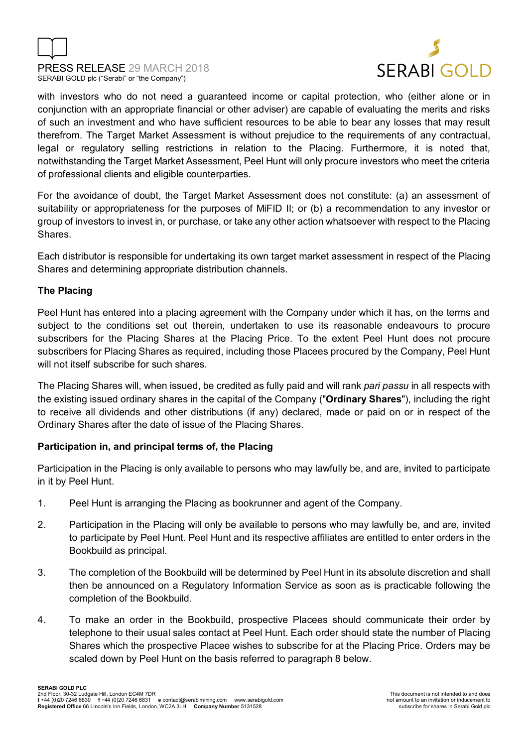



with investors who do not need a guaranteed income or capital protection, who (either alone or in conjunction with an appropriate financial or other adviser) are capable of evaluating the merits and risks of such an investment and who have sufficient resources to be able to bear any losses that may result therefrom. The Target Market Assessment is without prejudice to the requirements of any contractual, legal or regulatory selling restrictions in relation to the Placing. Furthermore, it is noted that, notwithstanding the Target Market Assessment, Peel Hunt will only procure investors who meet the criteria of professional clients and eligible counterparties.

For the avoidance of doubt, the Target Market Assessment does not constitute: (a) an assessment of suitability or appropriateness for the purposes of MiFID II; or (b) a recommendation to any investor or group of investors to invest in, or purchase, or take any other action whatsoever with respect to the Placing Shares.

Each distributor is responsible for undertaking its own target market assessment in respect of the Placing Shares and determining appropriate distribution channels.

#### **The Placing**

Peel Hunt has entered into a placing agreement with the Company under which it has, on the terms and subject to the conditions set out therein, undertaken to use its reasonable endeavours to procure subscribers for the Placing Shares at the Placing Price. To the extent Peel Hunt does not procure subscribers for Placing Shares as required, including those Placees procured by the Company, Peel Hunt will not itself subscribe for such shares.

The Placing Shares will, when issued, be credited as fully paid and will rank *pari passu* in all respects with the existing issued ordinary shares in the capital of the Company ("**Ordinary Shares**"), including the right to receive all dividends and other distributions (if any) declared, made or paid on or in respect of the Ordinary Shares after the date of issue of the Placing Shares.

#### **Participation in, and principal terms of, the Placing**

Participation in the Placing is only available to persons who may lawfully be, and are, invited to participate in it by Peel Hunt.

- 1. Peel Hunt is arranging the Placing as bookrunner and agent of the Company.
- 2. Participation in the Placing will only be available to persons who may lawfully be, and are, invited to participate by Peel Hunt. Peel Hunt and its respective affiliates are entitled to enter orders in the Bookbuild as principal.
- 3. The completion of the Bookbuild will be determined by Peel Hunt in its absolute discretion and shall then be announced on a Regulatory Information Service as soon as is practicable following the completion of the Bookbuild.
- 4. To make an order in the Bookbuild, prospective Placees should communicate their order by telephone to their usual sales contact at Peel Hunt. Each order should state the number of Placing Shares which the prospective Placee wishes to subscribe for at the Placing Price. Orders may be scaled down by Peel Hunt on the basis referred to paragraph 8 below.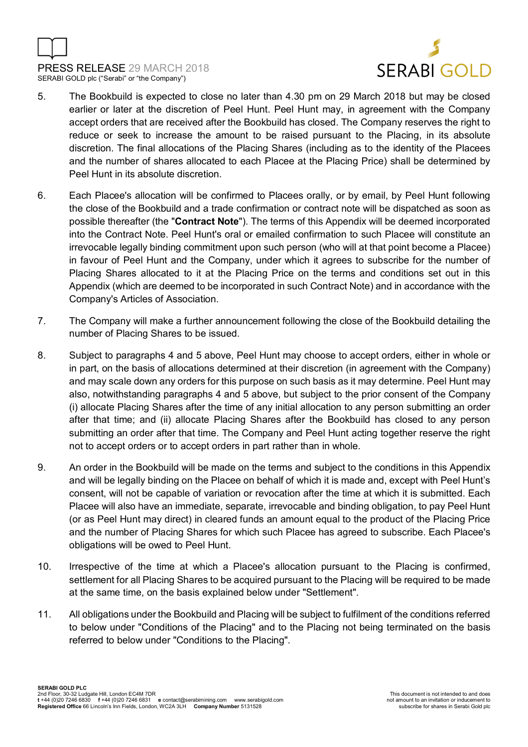PRESS RELEASE 29 MARCH 2018 SERABI GOLD plc ("Serabi" or "the Company")



- 5. The Bookbuild is expected to close no later than 4.30 pm on 29 March 2018 but may be closed earlier or later at the discretion of Peel Hunt. Peel Hunt may, in agreement with the Company accept orders that are received after the Bookbuild has closed. The Company reserves the right to reduce or seek to increase the amount to be raised pursuant to the Placing, in its absolute discretion. The final allocations of the Placing Shares (including as to the identity of the Placees and the number of shares allocated to each Placee at the Placing Price) shall be determined by Peel Hunt in its absolute discretion.
- 6. Each Placee's allocation will be confirmed to Placees orally, or by email, by Peel Hunt following the close of the Bookbuild and a trade confirmation or contract note will be dispatched as soon as possible thereafter (the "**Contract Note**"). The terms of this Appendix will be deemed incorporated into the Contract Note. Peel Hunt's oral or emailed confirmation to such Placee will constitute an irrevocable legally binding commitment upon such person (who will at that point become a Placee) in favour of Peel Hunt and the Company, under which it agrees to subscribe for the number of Placing Shares allocated to it at the Placing Price on the terms and conditions set out in this Appendix (which are deemed to be incorporated in such Contract Note) and in accordance with the Company's Articles of Association.
- 7. The Company will make a further announcement following the close of the Bookbuild detailing the number of Placing Shares to be issued.
- 8. Subject to paragraphs 4 and 5 above, Peel Hunt may choose to accept orders, either in whole or in part, on the basis of allocations determined at their discretion (in agreement with the Company) and may scale down any orders for this purpose on such basis as it may determine. Peel Hunt may also, notwithstanding paragraphs 4 and 5 above, but subject to the prior consent of the Company (i) allocate Placing Shares after the time of any initial allocation to any person submitting an order after that time; and (ii) allocate Placing Shares after the Bookbuild has closed to any person submitting an order after that time. The Company and Peel Hunt acting together reserve the right not to accept orders or to accept orders in part rather than in whole.
- 9. An order in the Bookbuild will be made on the terms and subject to the conditions in this Appendix and will be legally binding on the Placee on behalf of which it is made and, except with Peel Hunt's consent, will not be capable of variation or revocation after the time at which it is submitted. Each Placee will also have an immediate, separate, irrevocable and binding obligation, to pay Peel Hunt (or as Peel Hunt may direct) in cleared funds an amount equal to the product of the Placing Price and the number of Placing Shares for which such Placee has agreed to subscribe. Each Placee's obligations will be owed to Peel Hunt.
- 10. Irrespective of the time at which a Placee's allocation pursuant to the Placing is confirmed, settlement for all Placing Shares to be acquired pursuant to the Placing will be required to be made at the same time, on the basis explained below under "Settlement".
- 11. All obligations under the Bookbuild and Placing will be subject to fulfilment of the conditions referred to below under "Conditions of the Placing" and to the Placing not being terminated on the basis referred to below under "Conditions to the Placing".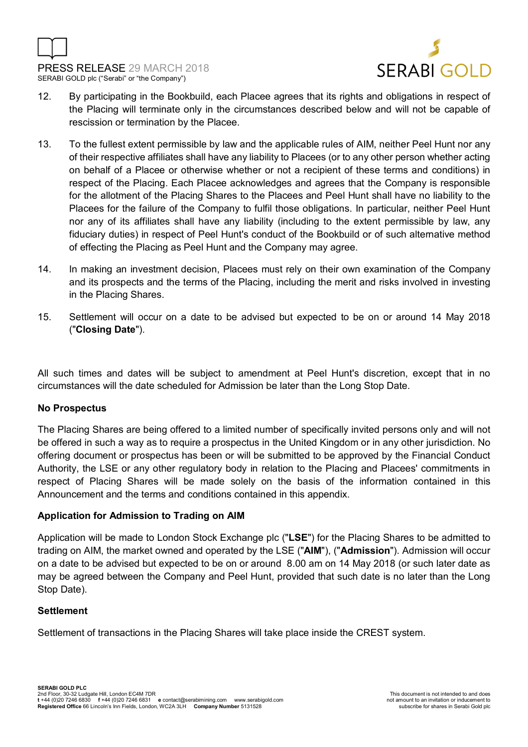



- 12. By participating in the Bookbuild, each Placee agrees that its rights and obligations in respect of the Placing will terminate only in the circumstances described below and will not be capable of rescission or termination by the Placee.
- 13. To the fullest extent permissible by law and the applicable rules of AIM, neither Peel Hunt nor any of their respective affiliates shall have any liability to Placees (or to any other person whether acting on behalf of a Placee or otherwise whether or not a recipient of these terms and conditions) in respect of the Placing. Each Placee acknowledges and agrees that the Company is responsible for the allotment of the Placing Shares to the Placees and Peel Hunt shall have no liability to the Placees for the failure of the Company to fulfil those obligations. In particular, neither Peel Hunt nor any of its affiliates shall have any liability (including to the extent permissible by law, any fiduciary duties) in respect of Peel Hunt's conduct of the Bookbuild or of such alternative method of effecting the Placing as Peel Hunt and the Company may agree.
- 14. In making an investment decision, Placees must rely on their own examination of the Company and its prospects and the terms of the Placing, including the merit and risks involved in investing in the Placing Shares.
- 15. Settlement will occur on a date to be advised but expected to be on or around 14 May 2018 ("**Closing Date**").

All such times and dates will be subject to amendment at Peel Hunt's discretion, except that in no circumstances will the date scheduled for Admission be later than the Long Stop Date.

#### **No Prospectus**

The Placing Shares are being offered to a limited number of specifically invited persons only and will not be offered in such a way as to require a prospectus in the United Kingdom or in any other jurisdiction. No offering document or prospectus has been or will be submitted to be approved by the Financial Conduct Authority, the LSE or any other regulatory body in relation to the Placing and Placees' commitments in respect of Placing Shares will be made solely on the basis of the information contained in this Announcement and the terms and conditions contained in this appendix.

#### **Application for Admission to Trading on AIM**

Application will be made to London Stock Exchange plc ("**LSE**") for the Placing Shares to be admitted to trading on AIM, the market owned and operated by the LSE ("**AIM**"), ("**Admission**"). Admission will occur on a date to be advised but expected to be on or around 8.00 am on 14 May 2018 (or such later date as may be agreed between the Company and Peel Hunt, provided that such date is no later than the Long Stop Date).

#### **Settlement**

Settlement of transactions in the Placing Shares will take place inside the CREST system.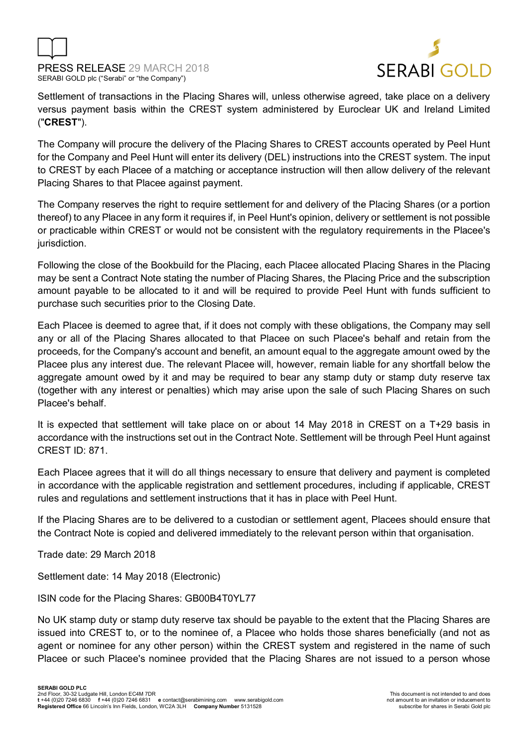



Settlement of transactions in the Placing Shares will, unless otherwise agreed, take place on a delivery versus payment basis within the CREST system administered by Euroclear UK and Ireland Limited ("**CREST**").

The Company will procure the delivery of the Placing Shares to CREST accounts operated by Peel Hunt for the Company and Peel Hunt will enter its delivery (DEL) instructions into the CREST system. The input to CREST by each Placee of a matching or acceptance instruction will then allow delivery of the relevant Placing Shares to that Placee against payment.

The Company reserves the right to require settlement for and delivery of the Placing Shares (or a portion thereof) to any Placee in any form it requires if, in Peel Hunt's opinion, delivery or settlement is not possible or practicable within CREST or would not be consistent with the regulatory requirements in the Placee's jurisdiction.

Following the close of the Bookbuild for the Placing, each Placee allocated Placing Shares in the Placing may be sent a Contract Note stating the number of Placing Shares, the Placing Price and the subscription amount payable to be allocated to it and will be required to provide Peel Hunt with funds sufficient to purchase such securities prior to the Closing Date.

Each Placee is deemed to agree that, if it does not comply with these obligations, the Company may sell any or all of the Placing Shares allocated to that Placee on such Placee's behalf and retain from the proceeds, for the Company's account and benefit, an amount equal to the aggregate amount owed by the Placee plus any interest due. The relevant Placee will, however, remain liable for any shortfall below the aggregate amount owed by it and may be required to bear any stamp duty or stamp duty reserve tax (together with any interest or penalties) which may arise upon the sale of such Placing Shares on such Placee's behalf.

It is expected that settlement will take place on or about 14 May 2018 in CREST on a T+29 basis in accordance with the instructions set out in the Contract Note. Settlement will be through Peel Hunt against CREST ID: 871.

Each Placee agrees that it will do all things necessary to ensure that delivery and payment is completed in accordance with the applicable registration and settlement procedures, including if applicable, CREST rules and regulations and settlement instructions that it has in place with Peel Hunt.

If the Placing Shares are to be delivered to a custodian or settlement agent, Placees should ensure that the Contract Note is copied and delivered immediately to the relevant person within that organisation.

Trade date: 29 March 2018

Settlement date: 14 May 2018 (Electronic)

ISIN code for the Placing Shares: GB00B4T0YL77

No UK stamp duty or stamp duty reserve tax should be payable to the extent that the Placing Shares are issued into CREST to, or to the nominee of, a Placee who holds those shares beneficially (and not as agent or nominee for any other person) within the CREST system and registered in the name of such Placee or such Placee's nominee provided that the Placing Shares are not issued to a person whose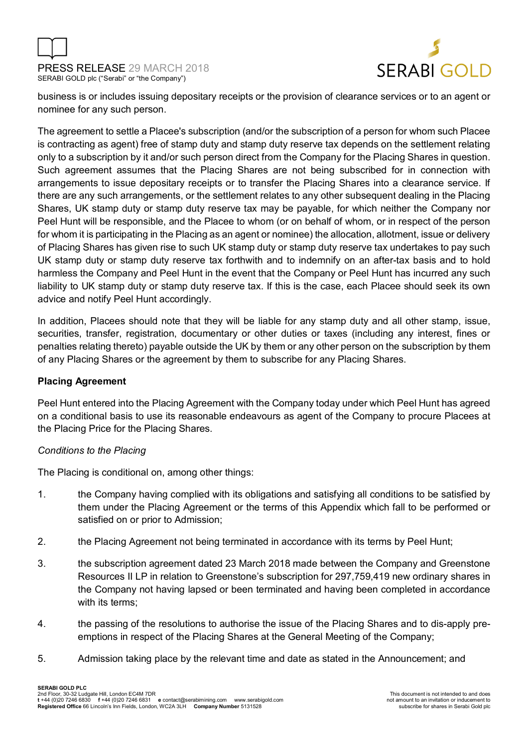



business is or includes issuing depositary receipts or the provision of clearance services or to an agent or nominee for any such person.

The agreement to settle a Placee's subscription (and/or the subscription of a person for whom such Placee is contracting as agent) free of stamp duty and stamp duty reserve tax depends on the settlement relating only to a subscription by it and/or such person direct from the Company for the Placing Shares in question. Such agreement assumes that the Placing Shares are not being subscribed for in connection with arrangements to issue depositary receipts or to transfer the Placing Shares into a clearance service. If there are any such arrangements, or the settlement relates to any other subsequent dealing in the Placing Shares, UK stamp duty or stamp duty reserve tax may be payable, for which neither the Company nor Peel Hunt will be responsible, and the Placee to whom (or on behalf of whom, or in respect of the person for whom it is participating in the Placing as an agent or nominee) the allocation, allotment, issue or delivery of Placing Shares has given rise to such UK stamp duty or stamp duty reserve tax undertakes to pay such UK stamp duty or stamp duty reserve tax forthwith and to indemnify on an after-tax basis and to hold harmless the Company and Peel Hunt in the event that the Company or Peel Hunt has incurred any such liability to UK stamp duty or stamp duty reserve tax. If this is the case, each Placee should seek its own advice and notify Peel Hunt accordingly.

In addition, Placees should note that they will be liable for any stamp duty and all other stamp, issue, securities, transfer, registration, documentary or other duties or taxes (including any interest, fines or penalties relating thereto) payable outside the UK by them or any other person on the subscription by them of any Placing Shares or the agreement by them to subscribe for any Placing Shares.

#### **Placing Agreement**

Peel Hunt entered into the Placing Agreement with the Company today under which Peel Hunt has agreed on a conditional basis to use its reasonable endeavours as agent of the Company to procure Placees at the Placing Price for the Placing Shares.

#### *Conditions to the Placing*

The Placing is conditional on, among other things:

- 1. the Company having complied with its obligations and satisfying all conditions to be satisfied by them under the Placing Agreement or the terms of this Appendix which fall to be performed or satisfied on or prior to Admission;
- 2. the Placing Agreement not being terminated in accordance with its terms by Peel Hunt;
- 3. the subscription agreement dated 23 March 2018 made between the Company and Greenstone Resources II LP in relation to Greenstone's subscription for 297,759,419 new ordinary shares in the Company not having lapsed or been terminated and having been completed in accordance with its terms;
- 4. the passing of the resolutions to authorise the issue of the Placing Shares and to dis-apply preemptions in respect of the Placing Shares at the General Meeting of the Company;
- 5. Admission taking place by the relevant time and date as stated in the Announcement; and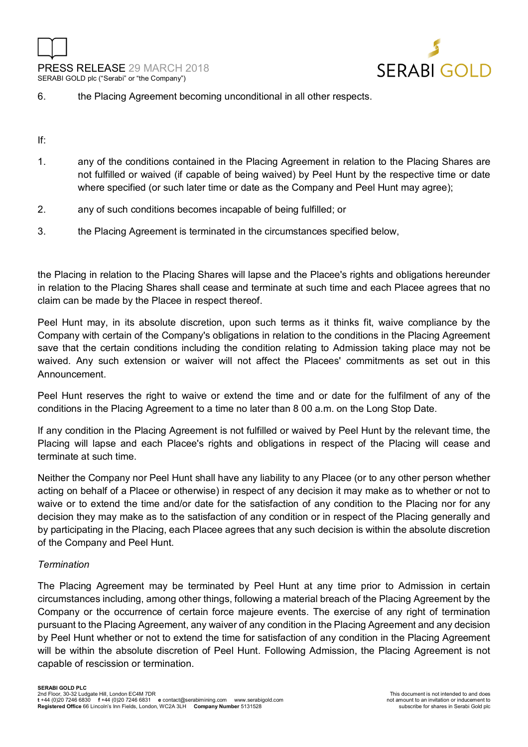

6. the Placing Agreement becoming unconditional in all other respects.

If:

- 1. any of the conditions contained in the Placing Agreement in relation to the Placing Shares are not fulfilled or waived (if capable of being waived) by Peel Hunt by the respective time or date where specified (or such later time or date as the Company and Peel Hunt may agree);
- 2. any of such conditions becomes incapable of being fulfilled; or
- 3. the Placing Agreement is terminated in the circumstances specified below,

the Placing in relation to the Placing Shares will lapse and the Placee's rights and obligations hereunder in relation to the Placing Shares shall cease and terminate at such time and each Placee agrees that no claim can be made by the Placee in respect thereof.

Peel Hunt may, in its absolute discretion, upon such terms as it thinks fit, waive compliance by the Company with certain of the Company's obligations in relation to the conditions in the Placing Agreement save that the certain conditions including the condition relating to Admission taking place may not be waived. Any such extension or waiver will not affect the Placees' commitments as set out in this Announcement.

Peel Hunt reserves the right to waive or extend the time and or date for the fulfilment of any of the conditions in the Placing Agreement to a time no later than 8 00 a.m. on the Long Stop Date.

If any condition in the Placing Agreement is not fulfilled or waived by Peel Hunt by the relevant time, the Placing will lapse and each Placee's rights and obligations in respect of the Placing will cease and terminate at such time.

Neither the Company nor Peel Hunt shall have any liability to any Placee (or to any other person whether acting on behalf of a Placee or otherwise) in respect of any decision it may make as to whether or not to waive or to extend the time and/or date for the satisfaction of any condition to the Placing nor for any decision they may make as to the satisfaction of any condition or in respect of the Placing generally and by participating in the Placing, each Placee agrees that any such decision is within the absolute discretion of the Company and Peel Hunt.

#### *Termination*

The Placing Agreement may be terminated by Peel Hunt at any time prior to Admission in certain circumstances including, among other things, following a material breach of the Placing Agreement by the Company or the occurrence of certain force majeure events. The exercise of any right of termination pursuant to the Placing Agreement, any waiver of any condition in the Placing Agreement and any decision by Peel Hunt whether or not to extend the time for satisfaction of any condition in the Placing Agreement will be within the absolute discretion of Peel Hunt. Following Admission, the Placing Agreement is not capable of rescission or termination.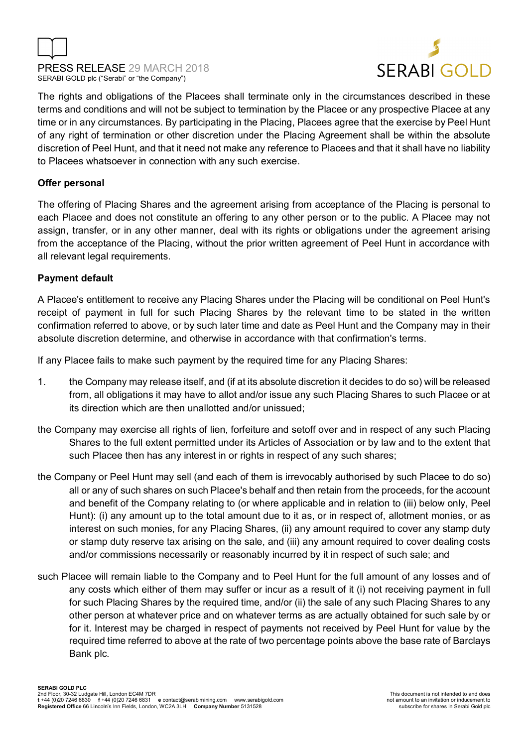



The rights and obligations of the Placees shall terminate only in the circumstances described in these terms and conditions and will not be subject to termination by the Placee or any prospective Placee at any time or in any circumstances. By participating in the Placing, Placees agree that the exercise by Peel Hunt of any right of termination or other discretion under the Placing Agreement shall be within the absolute discretion of Peel Hunt, and that it need not make any reference to Placees and that it shall have no liability to Placees whatsoever in connection with any such exercise.

### **Offer personal**

The offering of Placing Shares and the agreement arising from acceptance of the Placing is personal to each Placee and does not constitute an offering to any other person or to the public. A Placee may not assign, transfer, or in any other manner, deal with its rights or obligations under the agreement arising from the acceptance of the Placing, without the prior written agreement of Peel Hunt in accordance with all relevant legal requirements.

#### **Payment default**

A Placee's entitlement to receive any Placing Shares under the Placing will be conditional on Peel Hunt's receipt of payment in full for such Placing Shares by the relevant time to be stated in the written confirmation referred to above, or by such later time and date as Peel Hunt and the Company may in their absolute discretion determine, and otherwise in accordance with that confirmation's terms.

If any Placee fails to make such payment by the required time for any Placing Shares:

- 1. the Company may release itself, and (if at its absolute discretion it decides to do so) will be released from, all obligations it may have to allot and/or issue any such Placing Shares to such Placee or at its direction which are then unallotted and/or unissued;
- the Company may exercise all rights of lien, forfeiture and setoff over and in respect of any such Placing Shares to the full extent permitted under its Articles of Association or by law and to the extent that such Placee then has any interest in or rights in respect of any such shares;
- the Company or Peel Hunt may sell (and each of them is irrevocably authorised by such Placee to do so) all or any of such shares on such Placee's behalf and then retain from the proceeds, for the account and benefit of the Company relating to (or where applicable and in relation to (iii) below only, Peel Hunt): (i) any amount up to the total amount due to it as, or in respect of, allotment monies, or as interest on such monies, for any Placing Shares, (ii) any amount required to cover any stamp duty or stamp duty reserve tax arising on the sale, and (iii) any amount required to cover dealing costs and/or commissions necessarily or reasonably incurred by it in respect of such sale; and
- such Placee will remain liable to the Company and to Peel Hunt for the full amount of any losses and of any costs which either of them may suffer or incur as a result of it (i) not receiving payment in full for such Placing Shares by the required time, and/or (ii) the sale of any such Placing Shares to any other person at whatever price and on whatever terms as are actually obtained for such sale by or for it. Interest may be charged in respect of payments not received by Peel Hunt for value by the required time referred to above at the rate of two percentage points above the base rate of Barclays Bank plc.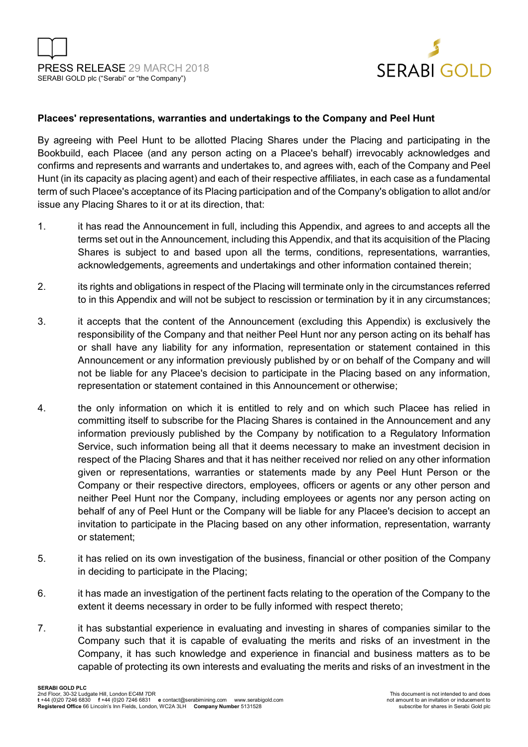

#### **Placees' representations, warranties and undertakings to the Company and Peel Hunt**

By agreeing with Peel Hunt to be allotted Placing Shares under the Placing and participating in the Bookbuild, each Placee (and any person acting on a Placee's behalf) irrevocably acknowledges and confirms and represents and warrants and undertakes to, and agrees with, each of the Company and Peel Hunt (in its capacity as placing agent) and each of their respective affiliates, in each case as a fundamental term of such Placee's acceptance of its Placing participation and of the Company's obligation to allot and/or issue any Placing Shares to it or at its direction, that:

- 1. it has read the Announcement in full, including this Appendix, and agrees to and accepts all the terms set out in the Announcement, including this Appendix, and that its acquisition of the Placing Shares is subject to and based upon all the terms, conditions, representations, warranties, acknowledgements, agreements and undertakings and other information contained therein;
- 2. its rights and obligations in respect of the Placing will terminate only in the circumstances referred to in this Appendix and will not be subject to rescission or termination by it in any circumstances;
- 3. it accepts that the content of the Announcement (excluding this Appendix) is exclusively the responsibility of the Company and that neither Peel Hunt nor any person acting on its behalf has or shall have any liability for any information, representation or statement contained in this Announcement or any information previously published by or on behalf of the Company and will not be liable for any Placee's decision to participate in the Placing based on any information, representation or statement contained in this Announcement or otherwise;
- 4. the only information on which it is entitled to rely and on which such Placee has relied in committing itself to subscribe for the Placing Shares is contained in the Announcement and any information previously published by the Company by notification to a Regulatory Information Service, such information being all that it deems necessary to make an investment decision in respect of the Placing Shares and that it has neither received nor relied on any other information given or representations, warranties or statements made by any Peel Hunt Person or the Company or their respective directors, employees, officers or agents or any other person and neither Peel Hunt nor the Company, including employees or agents nor any person acting on behalf of any of Peel Hunt or the Company will be liable for any Placee's decision to accept an invitation to participate in the Placing based on any other information, representation, warranty or statement;
- 5. it has relied on its own investigation of the business, financial or other position of the Company in deciding to participate in the Placing;
- 6. it has made an investigation of the pertinent facts relating to the operation of the Company to the extent it deems necessary in order to be fully informed with respect thereto;
- 7. it has substantial experience in evaluating and investing in shares of companies similar to the Company such that it is capable of evaluating the merits and risks of an investment in the Company, it has such knowledge and experience in financial and business matters as to be capable of protecting its own interests and evaluating the merits and risks of an investment in the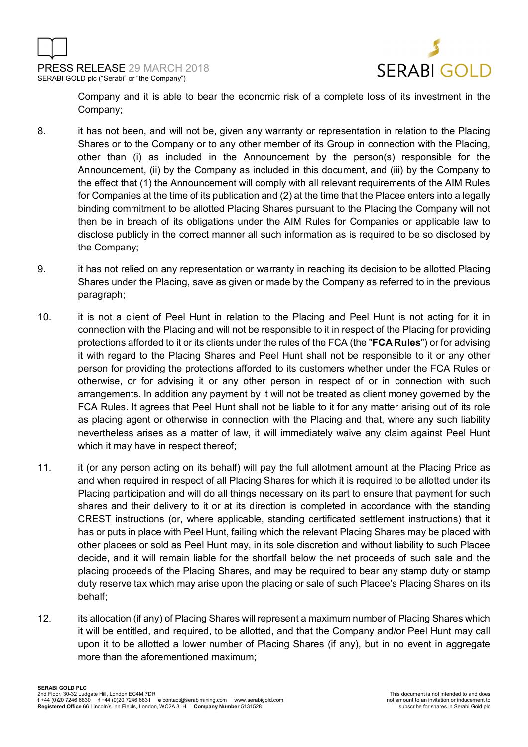



Company and it is able to bear the economic risk of a complete loss of its investment in the Company;

- 8. it has not been, and will not be, given any warranty or representation in relation to the Placing Shares or to the Company or to any other member of its Group in connection with the Placing, other than (i) as included in the Announcement by the person(s) responsible for the Announcement, (ii) by the Company as included in this document, and (iii) by the Company to the effect that (1) the Announcement will comply with all relevant requirements of the AIM Rules for Companies at the time of its publication and (2) at the time that the Placee enters into a legally binding commitment to be allotted Placing Shares pursuant to the Placing the Company will not then be in breach of its obligations under the AIM Rules for Companies or applicable law to disclose publicly in the correct manner all such information as is required to be so disclosed by the Company;
- 9. it has not relied on any representation or warranty in reaching its decision to be allotted Placing Shares under the Placing, save as given or made by the Company as referred to in the previous paragraph;
- 10. it is not a client of Peel Hunt in relation to the Placing and Peel Hunt is not acting for it in connection with the Placing and will not be responsible to it in respect of the Placing for providing protections afforded to it or its clients under the rules of the FCA (the "**FCA Rules**") or for advising it with regard to the Placing Shares and Peel Hunt shall not be responsible to it or any other person for providing the protections afforded to its customers whether under the FCA Rules or otherwise, or for advising it or any other person in respect of or in connection with such arrangements. In addition any payment by it will not be treated as client money governed by the FCA Rules. It agrees that Peel Hunt shall not be liable to it for any matter arising out of its role as placing agent or otherwise in connection with the Placing and that, where any such liability nevertheless arises as a matter of law, it will immediately waive any claim against Peel Hunt which it may have in respect thereof:
- 11. it (or any person acting on its behalf) will pay the full allotment amount at the Placing Price as and when required in respect of all Placing Shares for which it is required to be allotted under its Placing participation and will do all things necessary on its part to ensure that payment for such shares and their delivery to it or at its direction is completed in accordance with the standing CREST instructions (or, where applicable, standing certificated settlement instructions) that it has or puts in place with Peel Hunt, failing which the relevant Placing Shares may be placed with other placees or sold as Peel Hunt may, in its sole discretion and without liability to such Placee decide, and it will remain liable for the shortfall below the net proceeds of such sale and the placing proceeds of the Placing Shares, and may be required to bear any stamp duty or stamp duty reserve tax which may arise upon the placing or sale of such Placee's Placing Shares on its behalf;
- 12. its allocation (if any) of Placing Shares will represent a maximum number of Placing Shares which it will be entitled, and required, to be allotted, and that the Company and/or Peel Hunt may call upon it to be allotted a lower number of Placing Shares (if any), but in no event in aggregate more than the aforementioned maximum;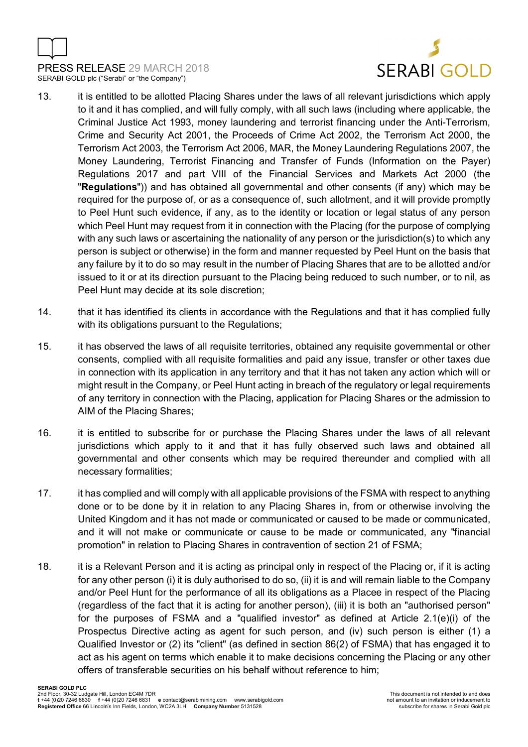## PRESS RELEASE 29 MARCH 2018 SERABI GOLD plc ("Serabi" or "the Company")



- 13. it is entitled to be allotted Placing Shares under the laws of all relevant jurisdictions which apply to it and it has complied, and will fully comply, with all such laws (including where applicable, the Criminal Justice Act 1993, money laundering and terrorist financing under the Anti-Terrorism, Crime and Security Act 2001, the Proceeds of Crime Act 2002, the Terrorism Act 2000, the Terrorism Act 2003, the Terrorism Act 2006, MAR, the Money Laundering Regulations 2007, the Money Laundering, Terrorist Financing and Transfer of Funds (Information on the Payer) Regulations 2017 and part VIII of the Financial Services and Markets Act 2000 (the "**Regulations**")) and has obtained all governmental and other consents (if any) which may be required for the purpose of, or as a consequence of, such allotment, and it will provide promptly to Peel Hunt such evidence, if any, as to the identity or location or legal status of any person which Peel Hunt may request from it in connection with the Placing (for the purpose of complying with any such laws or ascertaining the nationality of any person or the jurisdiction(s) to which any person is subject or otherwise) in the form and manner requested by Peel Hunt on the basis that any failure by it to do so may result in the number of Placing Shares that are to be allotted and/or issued to it or at its direction pursuant to the Placing being reduced to such number, or to nil, as Peel Hunt may decide at its sole discretion;
- 14. that it has identified its clients in accordance with the Regulations and that it has complied fully with its obligations pursuant to the Regulations;
- 15. it has observed the laws of all requisite territories, obtained any requisite governmental or other consents, complied with all requisite formalities and paid any issue, transfer or other taxes due in connection with its application in any territory and that it has not taken any action which will or might result in the Company, or Peel Hunt acting in breach of the regulatory or legal requirements of any territory in connection with the Placing, application for Placing Shares or the admission to AIM of the Placing Shares;
- 16. it is entitled to subscribe for or purchase the Placing Shares under the laws of all relevant jurisdictions which apply to it and that it has fully observed such laws and obtained all governmental and other consents which may be required thereunder and complied with all necessary formalities;
- 17. it has complied and will comply with all applicable provisions of the FSMA with respect to anything done or to be done by it in relation to any Placing Shares in, from or otherwise involving the United Kingdom and it has not made or communicated or caused to be made or communicated, and it will not make or communicate or cause to be made or communicated, any "financial promotion" in relation to Placing Shares in contravention of section 21 of FSMA;
- 18. it is a Relevant Person and it is acting as principal only in respect of the Placing or, if it is acting for any other person (i) it is duly authorised to do so, (ii) it is and will remain liable to the Company and/or Peel Hunt for the performance of all its obligations as a Placee in respect of the Placing (regardless of the fact that it is acting for another person), (iii) it is both an "authorised person" for the purposes of FSMA and a "qualified investor" as defined at Article 2.1(e)(i) of the Prospectus Directive acting as agent for such person, and (iv) such person is either (1) a Qualified Investor or (2) its "client" (as defined in section 86(2) of FSMA) that has engaged it to act as his agent on terms which enable it to make decisions concerning the Placing or any other offers of transferable securities on his behalf without reference to him;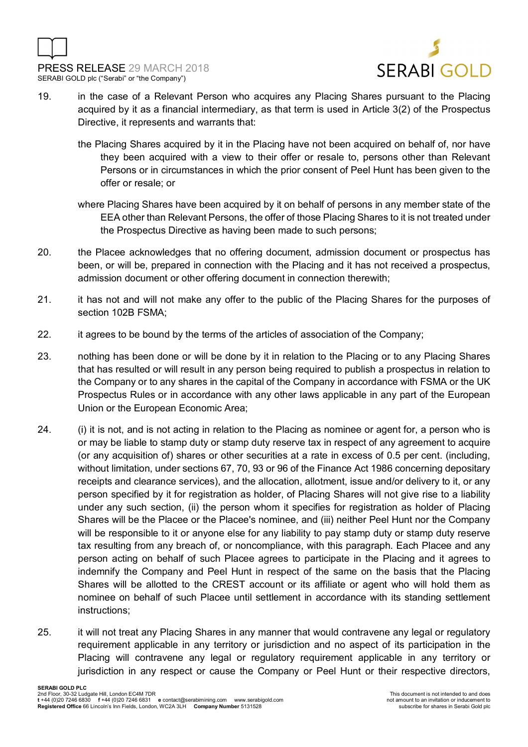

- 19. in the case of a Relevant Person who acquires any Placing Shares pursuant to the Placing acquired by it as a financial intermediary, as that term is used in Article 3(2) of the Prospectus Directive, it represents and warrants that:
	- the Placing Shares acquired by it in the Placing have not been acquired on behalf of, nor have they been acquired with a view to their offer or resale to, persons other than Relevant Persons or in circumstances in which the prior consent of Peel Hunt has been given to the offer or resale; or
	- where Placing Shares have been acquired by it on behalf of persons in any member state of the EEA other than Relevant Persons, the offer of those Placing Shares to it is not treated under the Prospectus Directive as having been made to such persons;
- 20. the Placee acknowledges that no offering document, admission document or prospectus has been, or will be, prepared in connection with the Placing and it has not received a prospectus, admission document or other offering document in connection therewith;
- 21. it has not and will not make any offer to the public of the Placing Shares for the purposes of section 102B FSMA;
- 22. it agrees to be bound by the terms of the articles of association of the Company;
- 23. nothing has been done or will be done by it in relation to the Placing or to any Placing Shares that has resulted or will result in any person being required to publish a prospectus in relation to the Company or to any shares in the capital of the Company in accordance with FSMA or the UK Prospectus Rules or in accordance with any other laws applicable in any part of the European Union or the European Economic Area;
- 24. (i) it is not, and is not acting in relation to the Placing as nominee or agent for, a person who is or may be liable to stamp duty or stamp duty reserve tax in respect of any agreement to acquire (or any acquisition of) shares or other securities at a rate in excess of 0.5 per cent. (including, without limitation, under sections 67, 70, 93 or 96 of the Finance Act 1986 concerning depositary receipts and clearance services), and the allocation, allotment, issue and/or delivery to it, or any person specified by it for registration as holder, of Placing Shares will not give rise to a liability under any such section, (ii) the person whom it specifies for registration as holder of Placing Shares will be the Placee or the Placee's nominee, and (iii) neither Peel Hunt nor the Company will be responsible to it or anyone else for any liability to pay stamp duty or stamp duty reserve tax resulting from any breach of, or noncompliance, with this paragraph. Each Placee and any person acting on behalf of such Placee agrees to participate in the Placing and it agrees to indemnify the Company and Peel Hunt in respect of the same on the basis that the Placing Shares will be allotted to the CREST account or its affiliate or agent who will hold them as nominee on behalf of such Placee until settlement in accordance with its standing settlement instructions;
- 25. it will not treat any Placing Shares in any manner that would contravene any legal or regulatory requirement applicable in any territory or jurisdiction and no aspect of its participation in the Placing will contravene any legal or regulatory requirement applicable in any territory or jurisdiction in any respect or cause the Company or Peel Hunt or their respective directors,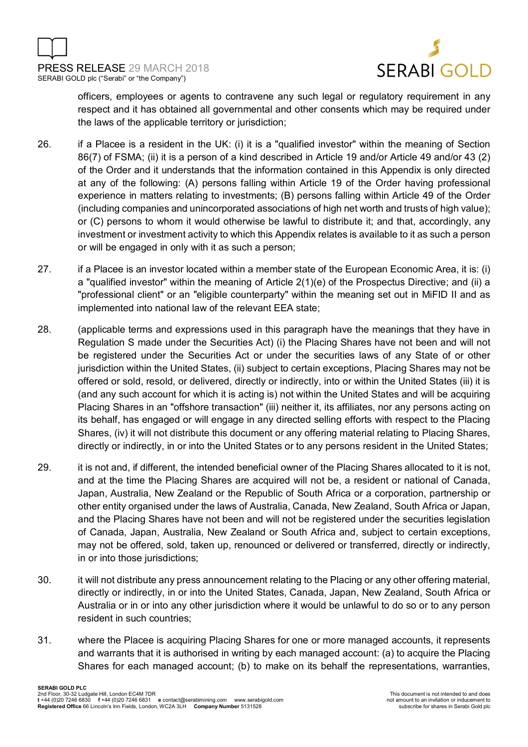



officers, employees or agents to contravene any such legal or regulatory requirement in any respect and it has obtained all governmental and other consents which may be required under the laws of the applicable territory or jurisdiction;

- 26. if a Placee is a resident in the UK: (i) it is a "qualified investor" within the meaning of Section 86(7) of FSMA; (ii) it is a person of a kind described in Article 19 and/or Article 49 and/or 43 (2) of the Order and it understands that the information contained in this Appendix is only directed at any of the following: (A) persons falling within Article 19 of the Order having professional experience in matters relating to investments; (B) persons falling within Article 49 of the Order (including companies and unincorporated associations of high net worth and trusts of high value); or (C) persons to whom it would otherwise be lawful to distribute it; and that, accordingly, any investment or investment activity to which this Appendix relates is available to it as such a person or will be engaged in only with it as such a person;
- 27. if a Placee is an investor located within a member state of the European Economic Area, it is: (i) a "qualified investor" within the meaning of Article 2(1)(e) of the Prospectus Directive; and (ii) a "professional client" or an "eligible counterparty" within the meaning set out in MiFID II and as implemented into national law of the relevant EEA state;
- 28. (applicable terms and expressions used in this paragraph have the meanings that they have in Regulation S made under the Securities Act) (i) the Placing Shares have not been and will not be registered under the Securities Act or under the securities laws of any State of or other jurisdiction within the United States, (ii) subject to certain exceptions, Placing Shares may not be offered or sold, resold, or delivered, directly or indirectly, into or within the United States (iii) it is (and any such account for which it is acting is) not within the United States and will be acquiring Placing Shares in an "offshore transaction" (iii) neither it, its affiliates, nor any persons acting on its behalf, has engaged or will engage in any directed selling efforts with respect to the Placing Shares, (iv) it will not distribute this document or any offering material relating to Placing Shares, directly or indirectly, in or into the United States or to any persons resident in the United States;
- 29. it is not and, if different, the intended beneficial owner of the Placing Shares allocated to it is not, and at the time the Placing Shares are acquired will not be, a resident or national of Canada, Japan, Australia, New Zealand or the Republic of South Africa or a corporation, partnership or other entity organised under the laws of Australia, Canada, New Zealand, South Africa or Japan, and the Placing Shares have not been and will not be registered under the securities legislation of Canada, Japan, Australia, New Zealand or South Africa and, subject to certain exceptions, may not be offered, sold, taken up, renounced or delivered or transferred, directly or indirectly, in or into those jurisdictions;
- 30. it will not distribute any press announcement relating to the Placing or any other offering material, directly or indirectly, in or into the United States, Canada, Japan, New Zealand, South Africa or Australia or in or into any other jurisdiction where it would be unlawful to do so or to any person resident in such countries;
- 31. where the Placee is acquiring Placing Shares for one or more managed accounts, it represents and warrants that it is authorised in writing by each managed account: (a) to acquire the Placing Shares for each managed account; (b) to make on its behalf the representations, warranties,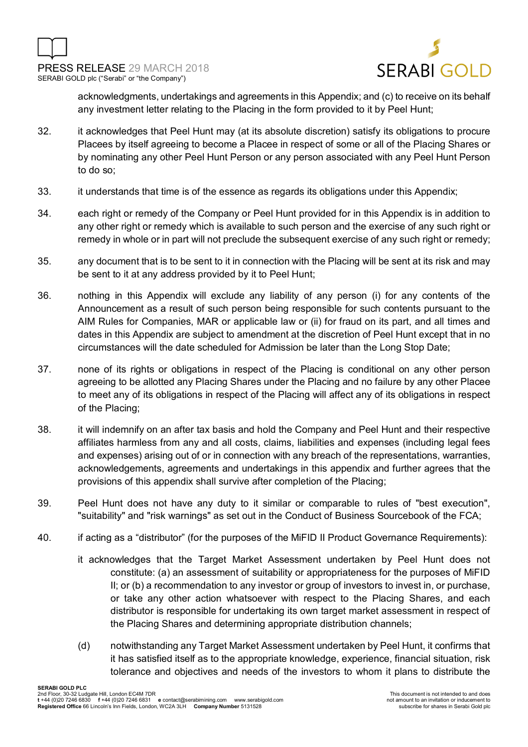

acknowledgments, undertakings and agreements in this Appendix; and (c) to receive on its behalf any investment letter relating to the Placing in the form provided to it by Peel Hunt;

- 32. it acknowledges that Peel Hunt may (at its absolute discretion) satisfy its obligations to procure Placees by itself agreeing to become a Placee in respect of some or all of the Placing Shares or by nominating any other Peel Hunt Person or any person associated with any Peel Hunt Person to do so;
- 33. it understands that time is of the essence as regards its obligations under this Appendix;
- 34. each right or remedy of the Company or Peel Hunt provided for in this Appendix is in addition to any other right or remedy which is available to such person and the exercise of any such right or remedy in whole or in part will not preclude the subsequent exercise of any such right or remedy;
- 35. any document that is to be sent to it in connection with the Placing will be sent at its risk and may be sent to it at any address provided by it to Peel Hunt;
- 36. nothing in this Appendix will exclude any liability of any person (i) for any contents of the Announcement as a result of such person being responsible for such contents pursuant to the AIM Rules for Companies, MAR or applicable law or (ii) for fraud on its part, and all times and dates in this Appendix are subject to amendment at the discretion of Peel Hunt except that in no circumstances will the date scheduled for Admission be later than the Long Stop Date;
- 37. none of its rights or obligations in respect of the Placing is conditional on any other person agreeing to be allotted any Placing Shares under the Placing and no failure by any other Placee to meet any of its obligations in respect of the Placing will affect any of its obligations in respect of the Placing;
- 38. it will indemnify on an after tax basis and hold the Company and Peel Hunt and their respective affiliates harmless from any and all costs, claims, liabilities and expenses (including legal fees and expenses) arising out of or in connection with any breach of the representations, warranties, acknowledgements, agreements and undertakings in this appendix and further agrees that the provisions of this appendix shall survive after completion of the Placing;
- 39. Peel Hunt does not have any duty to it similar or comparable to rules of "best execution", "suitability" and "risk warnings" as set out in the Conduct of Business Sourcebook of the FCA;
- 40. if acting as a "distributor" (for the purposes of the MiFID II Product Governance Requirements):
	- it acknowledges that the Target Market Assessment undertaken by Peel Hunt does not constitute: (a) an assessment of suitability or appropriateness for the purposes of MiFID II; or (b) a recommendation to any investor or group of investors to invest in, or purchase, or take any other action whatsoever with respect to the Placing Shares, and each distributor is responsible for undertaking its own target market assessment in respect of the Placing Shares and determining appropriate distribution channels;
	- (d) notwithstanding any Target Market Assessment undertaken by Peel Hunt, it confirms that it has satisfied itself as to the appropriate knowledge, experience, financial situation, risk tolerance and objectives and needs of the investors to whom it plans to distribute the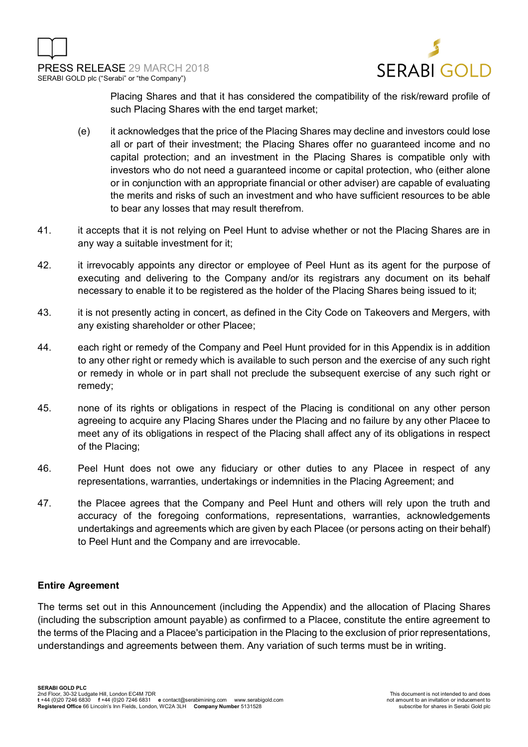

Placing Shares and that it has considered the compatibility of the risk/reward profile of such Placing Shares with the end target market;

- (e) it acknowledges that the price of the Placing Shares may decline and investors could lose all or part of their investment; the Placing Shares offer no guaranteed income and no capital protection; and an investment in the Placing Shares is compatible only with investors who do not need a guaranteed income or capital protection, who (either alone or in conjunction with an appropriate financial or other adviser) are capable of evaluating the merits and risks of such an investment and who have sufficient resources to be able to bear any losses that may result therefrom.
- 41. it accepts that it is not relying on Peel Hunt to advise whether or not the Placing Shares are in any way a suitable investment for it;
- 42. it irrevocably appoints any director or employee of Peel Hunt as its agent for the purpose of executing and delivering to the Company and/or its registrars any document on its behalf necessary to enable it to be registered as the holder of the Placing Shares being issued to it;
- 43. it is not presently acting in concert, as defined in the City Code on Takeovers and Mergers, with any existing shareholder or other Placee;
- 44. each right or remedy of the Company and Peel Hunt provided for in this Appendix is in addition to any other right or remedy which is available to such person and the exercise of any such right or remedy in whole or in part shall not preclude the subsequent exercise of any such right or remedy;
- 45. none of its rights or obligations in respect of the Placing is conditional on any other person agreeing to acquire any Placing Shares under the Placing and no failure by any other Placee to meet any of its obligations in respect of the Placing shall affect any of its obligations in respect of the Placing;
- 46. Peel Hunt does not owe any fiduciary or other duties to any Placee in respect of any representations, warranties, undertakings or indemnities in the Placing Agreement; and
- 47. the Placee agrees that the Company and Peel Hunt and others will rely upon the truth and accuracy of the foregoing conformations, representations, warranties, acknowledgements undertakings and agreements which are given by each Placee (or persons acting on their behalf) to Peel Hunt and the Company and are irrevocable.

#### **Entire Agreement**

The terms set out in this Announcement (including the Appendix) and the allocation of Placing Shares (including the subscription amount payable) as confirmed to a Placee, constitute the entire agreement to the terms of the Placing and a Placee's participation in the Placing to the exclusion of prior representations, understandings and agreements between them. Any variation of such terms must be in writing.